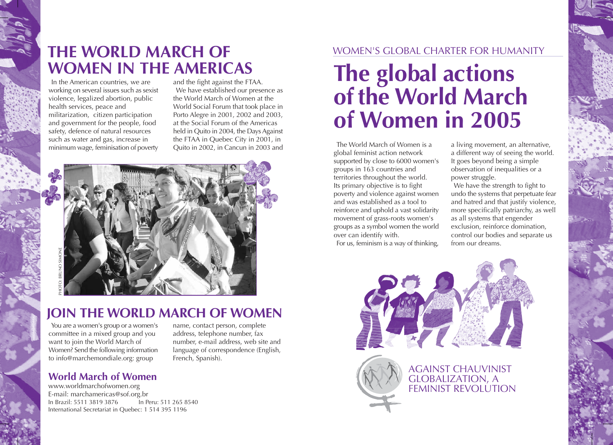### **THE WORLD MARCH OF WOMEN IN THE AMERICAS**

In the American countries, we are working on several issues such as sexist violence, legalized abortion, public health services, peace and militarization, citizen participation and government for the people, food safety, defence of natural resources such as water and gas, increase in minimum wage, feminisation of poverty

and the fight against the FTAA. We have established our presence as the World March of Women at the World Social Forum that took place in Porto Alegre in 2001, 2002 and 2003, at the Social Forum of the Americas held in Ouito in 2004, the Days Against the FTAA in Quebec City in 2001, in Ouito in 2002, in Cancun in 2003 and

name, contact person, complete

address, telephone number, fax

French, Spanish).

number, e-mail address, web site and

language of correspondence (English,



### **JOIN THE WORLD MARCH OF WOMEN**

You are a women's group or a women's committee in a mixed group and you want to join the World March of Women? Send the following information to info@marchemondiale.org: group

#### **World March of Women**

www.worldmarchofwomen.org E-mail: marchamericas@sof.org.br In Brazil: 5511 3819 3876 In Peru: 511 265 8540 International Secretariat in Quebec: 1 514 395 1196

## **WOMEN'S GLOBAL CHARTER FOR HUMANITY** The global actions<br>of the World March of Women in 2005

The World March of Women is a global feminist action network supported by close to 6000 women's groups in 163 countries and territories throughout the world. Its primary objective is to fight poverty and violence against women and was established as a tool to reinforce and uphold a vast solidarity movement of grass-roots women's groups as a symbol women the world over can identify with.

For us, feminism is a way of thinking,

a living movement, an alternative, a different way of seeing the world. It goes beyond being a simple observation of inequalities or a power struggle.

We have the strength to fight to undo the systems that perpetuate fear and hatred and that justify violence, more specifically patriarchy, as well as all systems that engender exclusion, reinforce domination, control our bodies and separate us from our dreams.



AGAINST CHAUVINIST<br>GLOBALIZATION, A **FEMINIST REVOLUTION**